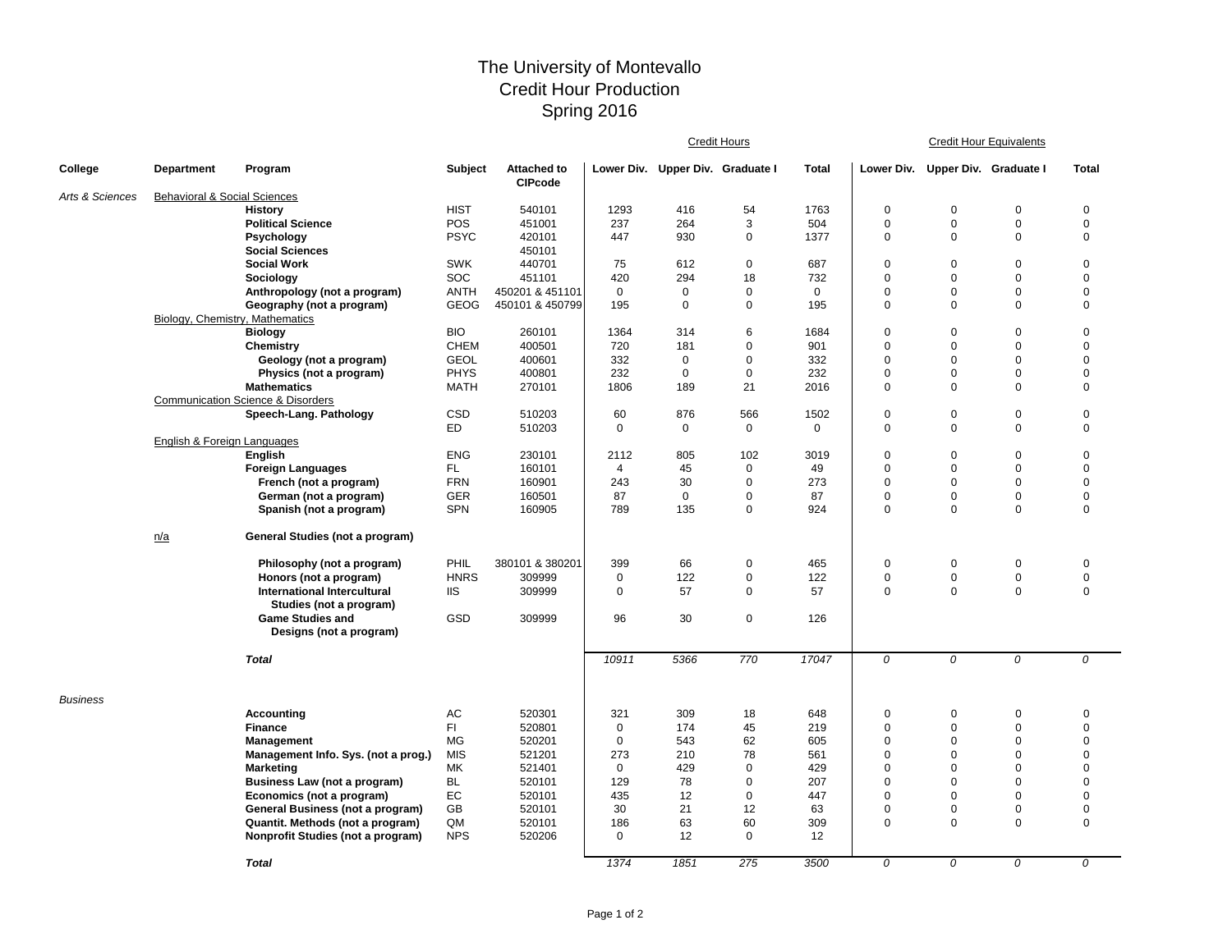## The University of Montevallo Credit Hour Production Spring 2016

|                 |                                         |                                              |                |                                      | Credit Hours   |                                  |             |             | <b>Credit Hour Equivalents</b> |                                  |                |              |  |
|-----------------|-----------------------------------------|----------------------------------------------|----------------|--------------------------------------|----------------|----------------------------------|-------------|-------------|--------------------------------|----------------------------------|----------------|--------------|--|
| College         | <b>Department</b>                       | Program                                      | <b>Subject</b> | <b>Attached to</b><br><b>CIPcode</b> |                | Lower Div. Upper Div. Graduate I |             | Total       |                                | Lower Div. Upper Div. Graduate I |                | <b>Total</b> |  |
| Arts & Sciences | <b>Behavioral &amp; Social Sciences</b> |                                              |                |                                      |                |                                  |             |             |                                |                                  |                |              |  |
|                 |                                         | <b>History</b>                               | <b>HIST</b>    | 540101                               | 1293           | 416                              | 54          | 1763        | $\mathbf 0$                    | $\mathbf 0$                      | $\mathbf 0$    | $\pmb{0}$    |  |
|                 |                                         | <b>Political Science</b>                     | POS            | 451001                               | 237            | 264                              | 3           | 504         | $\mathbf 0$                    | 0                                | 0              | $\mathbf 0$  |  |
|                 |                                         | Psychology                                   | <b>PSYC</b>    | 420101                               | 447            | 930                              | 0           | 1377        | $\mathbf 0$                    | $\mathbf 0$                      | $\mathbf 0$    | $\pmb{0}$    |  |
|                 |                                         | <b>Social Sciences</b>                       |                | 450101                               |                |                                  |             |             |                                |                                  |                |              |  |
|                 |                                         | <b>Social Work</b>                           | <b>SWK</b>     | 440701                               | 75             | 612                              | $\mathbf 0$ | 687         | $\mathbf 0$                    | $\Omega$                         | $\Omega$       | $\pmb{0}$    |  |
|                 |                                         | Sociology                                    | SOC            | 451101                               | 420            | 294                              | 18          | 732         | $\mathbf 0$                    | $\Omega$                         | $\Omega$       | $\mathbf 0$  |  |
|                 |                                         | Anthropology (not a program)                 | <b>ANTH</b>    | 450201 & 451101                      | $\mathbf 0$    | $\mathbf 0$                      | 0           | $\mathbf 0$ | $\mathbf 0$                    | $\Omega$                         | $\Omega$       | $\mathbf 0$  |  |
|                 |                                         | Geography (not a program)                    | GEOG           | 450101 & 450799                      | 195            | $\mathbf 0$                      | $\mathbf 0$ | 195         | $\mathbf 0$                    | $\Omega$                         | 0              | $\mathbf 0$  |  |
|                 |                                         | Biology, Chemistry, Mathematics              |                |                                      |                |                                  |             |             |                                |                                  |                |              |  |
|                 |                                         | <b>Biology</b>                               | <b>BIO</b>     | 260101                               | 1364           | 314                              | 6           | 1684        | $\mathbf 0$                    | $\Omega$                         | $\Omega$       | $\mathbf 0$  |  |
|                 |                                         | Chemistry                                    | <b>CHEM</b>    | 400501                               | 720            | 181                              | $\mathbf 0$ | 901         | $\mathbf 0$                    | $\Omega$                         | $\Omega$       | $\mathbf 0$  |  |
|                 |                                         | Geology (not a program)                      | <b>GEOL</b>    | 400601                               | 332            | 0                                | $\mathbf 0$ | 332         | $\mathbf 0$                    | $\Omega$                         | $\Omega$       | $\Omega$     |  |
|                 |                                         | Physics (not a program)                      | <b>PHYS</b>    | 400801                               | 232            | $\mathbf 0$                      | 0           | 232         | $\mathbf 0$                    | 0                                | 0              | $\mathbf 0$  |  |
|                 |                                         | <b>Mathematics</b>                           | <b>MATH</b>    | 270101                               | 1806           | 189                              | 21          | 2016        | $\mathbf 0$                    | $\mathbf 0$                      | $\mathbf 0$    | $\mathbf 0$  |  |
|                 |                                         | <b>Communication Science &amp; Disorders</b> |                |                                      |                |                                  |             |             |                                |                                  |                |              |  |
|                 |                                         | Speech-Lang. Pathology                       | CSD            | 510203                               | 60             | 876                              | 566         | 1502        | $\mathbf 0$                    | 0                                | 0              | $\mathbf 0$  |  |
|                 |                                         |                                              | <b>ED</b>      | 510203                               | $\mathbf 0$    | 0                                | 0           | $\mathbf 0$ | $\mathbf 0$                    | $\Omega$                         | 0              | $\mathsf 0$  |  |
|                 | English & Foreign Languages             |                                              |                |                                      |                |                                  |             |             |                                |                                  |                |              |  |
|                 |                                         | English                                      | <b>ENG</b>     | 230101                               | 2112           | 805                              | 102         | 3019        | $\mathbf 0$                    | $\Omega$                         | $\Omega$       | $\pmb{0}$    |  |
|                 |                                         | <b>Foreign Languages</b>                     | FL.            | 160101                               | $\overline{4}$ | 45                               | $\mathbf 0$ | 49          | $\mathbf 0$                    | $\Omega$                         | $\Omega$       | $\mathbf 0$  |  |
|                 |                                         | French (not a program)                       | <b>FRN</b>     | 160901                               | 243            | 30                               | 0           | 273         | $\mathbf 0$                    | $\Omega$                         | $\mathbf 0$    | $\pmb{0}$    |  |
|                 |                                         | German (not a program)                       | GER            | 160501                               | 87             | $\mathbf 0$                      | 0           | 87          | $\mathbf 0$                    | 0                                | 0              | $\pmb{0}$    |  |
|                 |                                         | Spanish (not a program)                      | <b>SPN</b>     | 160905                               | 789            | 135                              | $\mathbf 0$ | 924         | $\mathbf 0$                    | $\Omega$                         | $\mathbf 0$    | $\mathbf 0$  |  |
|                 | n/a                                     | General Studies (not a program)              |                |                                      |                |                                  |             |             |                                |                                  |                |              |  |
|                 |                                         | Philosophy (not a program)                   | PHIL           | 380101 & 380201                      | 399            | 66                               | 0           | 465         | $\mathbf 0$                    | 0                                | $\mathbf 0$    | $\mathbf 0$  |  |
|                 |                                         | Honors (not a program)                       | <b>HNRS</b>    | 309999                               | 0              | 122                              | 0           | 122         | $\mathbf 0$                    | $\mathbf 0$                      | 0              | $\mathsf 0$  |  |
|                 |                                         | International Intercultural                  | <b>IIS</b>     | 309999                               | 0              | 57                               | 0           | 57          | $\mathbf 0$                    | $\mathbf 0$                      | 0              | $\mathbf 0$  |  |
|                 |                                         | Studies (not a program)                      |                |                                      |                |                                  |             |             |                                |                                  |                |              |  |
|                 |                                         | <b>Game Studies and</b>                      | GSD            | 309999                               | 96             | 30                               | $\mathbf 0$ | 126         |                                |                                  |                |              |  |
|                 |                                         | Designs (not a program)                      |                |                                      |                |                                  |             |             |                                |                                  |                |              |  |
|                 |                                         | <b>Total</b>                                 |                |                                      | 10911          | 5366                             | 770         | 17047       | 0                              | 0                                | $\overline{0}$ | 0            |  |
| <b>Business</b> |                                         |                                              |                |                                      |                |                                  |             |             |                                |                                  |                |              |  |
|                 |                                         | Accounting                                   | AC             | 520301                               | 321            | 309                              | 18          | 648         | $\mathbf 0$                    | $\Omega$                         | $\Omega$       | $\mathbf 0$  |  |
|                 |                                         | <b>Finance</b>                               | FI.            | 520801                               | $\mathbf 0$    | 174                              | 45          | 219         | $\mathbf 0$                    | $\Omega$                         | 0              | $\mathbf 0$  |  |
|                 |                                         | <b>Management</b>                            | MG             | 520201                               | $\mathbf 0$    | 543                              | 62          | 605         | $\mathbf 0$                    | $\Omega$                         | $\Omega$       | $\mathbf 0$  |  |
|                 |                                         | Management Info. Sys. (not a prog.)          | <b>MIS</b>     | 521201                               | 273            | 210                              | 78          | 561         | $\mathbf 0$                    | $\Omega$                         | $\mathbf 0$    | $\mathsf 0$  |  |
|                 |                                         | <b>Marketing</b>                             | МK             | 521401                               | 0              | 429                              | 0           | 429         | $\Omega$                       | $\Omega$                         | $\Omega$       | $\Omega$     |  |
|                 |                                         | Business Law (not a program)                 | <b>BL</b>      | 520101                               | 129            | 78                               | $\mathbf 0$ | 207         | $\mathbf 0$                    | $\Omega$                         | $\Omega$       | $\mathbf 0$  |  |
|                 |                                         | Economics (not a program)                    | EC             | 520101                               | 435            | 12                               | 0           | 447         | $\mathbf 0$                    | $\Omega$                         | 0              | $\pmb{0}$    |  |
|                 |                                         | General Business (not a program)             | GB             | 520101                               | 30             | 21                               | 12          | 63          | $\mathbf 0$                    | $\Omega$                         | $\Omega$       | $\mathbf 0$  |  |
|                 |                                         | Quantit. Methods (not a program)             | QM             | 520101                               | 186            | 63                               | 60          | 309         | $\mathbf 0$                    | $\mathbf 0$                      | $\mathbf 0$    | $\mathbf 0$  |  |
|                 |                                         | Nonprofit Studies (not a program)            | <b>NPS</b>     | 520206                               | 0              | 12                               | $\mathbf 0$ | 12          |                                |                                  |                |              |  |
|                 |                                         | <b>Total</b>                                 |                |                                      | 1374           | 1851                             | 275         | 3500        | 0                              | $\Omega$                         | $\Omega$       | $\Omega$     |  |
|                 |                                         |                                              |                |                                      |                |                                  |             |             |                                |                                  |                |              |  |